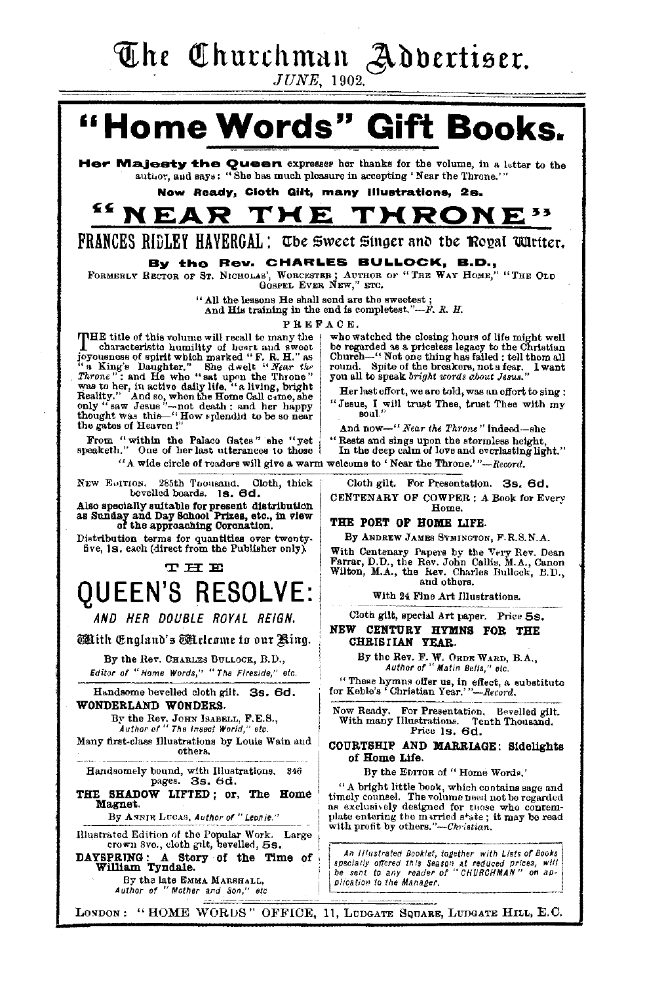The Churchman Advertiser.

 $JUNE$ , 1902.

## "Home Words" Gift Books.

Her Majesty the Queen expresses her thanks for the volume, in a letter to the author, and says: "She has much pleasure in accepting 'Near the Throne."

Now Ready, Cloth Gilt, many Illustrations, 2s.

#### ≤≤ N F. F0 D THRONE

**FRANCES RIDLEY HAVERGAL: The Sweet Singer and the Royal Wirtter.** 

#### By the Rev. CHARLES BULLOCK, B.D.,

FORMERLY RECTOR OF ST. NICHOLAS', WORCESTER; AUTHOR OF "THE WAY HOME," "THE OLD GOSFEL EVER NEW," ETC.

" All the lessons He shall send are the sweetest;

And His training in the end is completest."-F. R. H.

PREFACE.

THE title of this volume will recall to many the characteristic humility of heart and sweet To connect a solution in the matter of the decision of the K.H." as  $T_{\text{ATORE}}^{\text{1}}$  bughter." She decision of the filtration of  $T_{\text{ATORE}}^{\text{1}}$  and He who "sat upon the Throne" was to her, in active daily life, "a livi Reality." And so, when the Home Call came, she<br>only "saw Jesus"-not death ; and her happy<br>thought was this..."How splendid to be so near the gates of Heaven!"

From "within the Palace Gates" she "yet<br>speaketh." One of her last utterances to those

ron. 285th Toousand. Cl<br>bevelled boards. 18. 6d. Cloth, thick NEW EQITION.

Also specially suitable for present distribution<br>as Sunday and Day School Prizes, etc., in view<br>of the approaching Coronation.

Distribution terms for quantities over twentyfive, 18, each (direct from the Publisher only).

#### **THE**

## **OUEEN'S RESOLVE:**

AND HER DOUBLE ROYAL REIGN.

**Mith England's Mickeyne to our Ring.** 

By the Rev. CHARLES BULLOCK, B.D., Editor of "Home Words," "The Fireside," etc.

Handsome bevelled cloth gilt. 3s. 6d. WONDERLAND WONDERS.

By the Rev. JOHN ISABELL, F.E.S.,<br>Author of "The Insect World," etc.

Many first-class Illustrations by Louis Wain and others.

Handsomely bound, with Illustrations. 346<br>pages. 3s. 6d.

THE SHADOW LIFTED; or, The Home Magnet.

By ANNIE LUCAS, Author of "Leonie."

Illustrated Edition of the Popular Work. Large crown 8vo., cloth gilt, bevelled, 5s.

DAYSPRING: A Story of the Time of William Tyndale. By the late EMMA MARSHALL,<br>Author of "Mother and Son," etc.

who watched the closing hours of life might well who watered as a priceless legacy to the Christian<br>church—" Not one thing has failed ; tell them all<br>church—" Not one thing has failed ; tell them all<br>round. Spite of the breakers, not a fear. I want you all to speak bright words about Jesus.

Her last effort, we are told, was an effort to sing : "Jesus, I will trust Thee, trust Thee with my soul.'

And now-" Near the Throne" Indeed-she

"Rests and sings upon the stormless height. In the deep calm of love and everlasting light."

"A wide circle of readers will give a warm welcome to 'Near the Throne.'"--Record.

Cloth gilt. For Presentation. 3s. 6d. CENTENARY OF COWPER : A Book for Every Home.

#### THE POET OF HOME LIFE.

By ANDREW JAMES SYMINGTON, F.R.S.N.A.

With Centenary Papers by the Very Rev. Dean Farrar, D.D., the Rev. John Callis, M.A., Canon Wilton, M.A., the Rev. Charles Bullock, B.D., and others.

With 24 Fine Art Illustrations.

Cloth gilt, special Art paper. Price 5s.

#### NEW CENTURY HYMNS FOR THE CHRISIIAN YEAR.

By the Rev. F. W. ORDE WARD, B.A.,<br>Author of "Matin Bells," etc.

"These hymns offer us, in effect, a substitute<br>for Keble's 'Christian Year.'"--Record.

Now Ready. For Presentation. Bevelled gilt. Now Ready. For Freenomonon. Correspond.<br>With many Illustrations. Tenth Thousand.<br>Price 1s. 6d.

#### COURTSHIP AND MARRIAGE: Sidelights of Home Life.

By the EDITOR of "Home Words."

"A bright little book, which contains sage and timely counsel. The volume need not be regarded<br>as exclusively designed for those who contemplate entering the married state; it may be read<br>with profit by others."—Christian.

An Illustrated Booklet, together with Lists of Books specially offered this Season at reduced prices, will<br>be sent to any reader of "CHURCHMAN" on application to the Manager,

LONDON: "HOME WORDS" OFFICE, 11, LUDGATE SOUARE, LUDGATE HILL, E.C.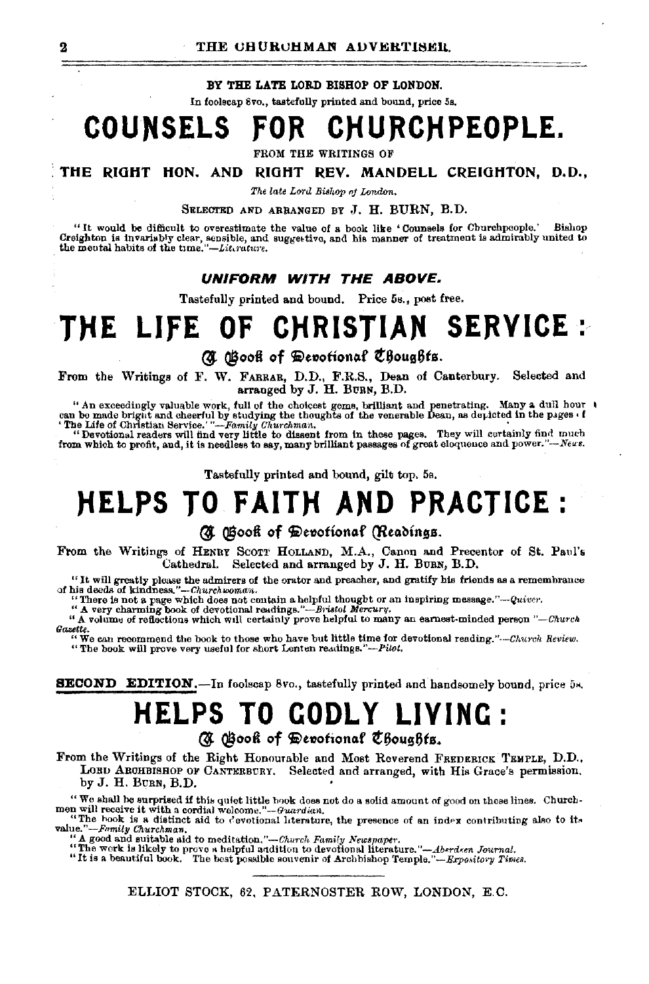#### **BY TBE LATE LORD BISHOP OF LONDON.**

In foolscap 8vo., tastefully printed and bound, price 5s.

## **COUNSELS FOR CHURCHPEOPLE.**

FROM THE WRITINGS OF

• **THE RIOHT HON. AND RIOHT REV. MANDELL CREIGHTON, D.D.,** 

*The late Lord Bishop nj London.* 

SELECTED AND ARRANGED BY .T. **H.** BURN, B.D.

"It would be difficult to overestimate the value of a book like 'Counsels for Churchpeople.' Bishop Creighton is invariably clear, sensible, and his manner of treatment is admirably united to the moutal habits of the time

#### **UNIFORM WITH THE ABOVE.**

Tastefully printed and bound. Price 5s., post free.

## THE LIFE OF CHRISTIAN SERVICE:

**(J @ooi of** ~e,otiomtf **t&oug6ts.** 

From the Writings of F. W. FARRAR, D.D., F.R.S., Dean of Canterbury. Selected and arranged by J. H. BURN, B.D.

"An exceedingly valuable work, full of the choicest gems, brilliant and penetrating. Many a dull hour  $\iota$  can be made bright and cheerful by studying the thoughts of the venerable Dean, as depicted in the pages  $\iota$  f

Tastefully printed and bound, gilt top. 5s.

## **)'(ELPS TO FAIT)'( AND PRACTICE:**

### *(J.* **@ooi of** ~e,ofiottttf **QltttMngs.**

From the Writings of HENRY SCOTT HOLLAND, M.A., Canon and Precentor of St. Paul's Cathedral. Selected and arranged by J. H. BURN, B.D. Selected and arranged by J. H. BURN, B.D.

"It will greatly please the admirers of the orator and preacher, and gratify his friends as a remembrance of his deeds of kindness."--*Churchwoman*.

"There is not a page which does not contain a helpful thought or an inspiring message." *-Quivo·.* 

"A very charming book of devotional readings."-Bristol Mercury.<br>"A volume of reflections which will certainly prove helpful to many an earnest-minded person "-Church *Gazette.*  "We ca.n recommend the hook to those who have but little time for devotional reading."·-Chu•·clt *Review.* 

"The book will prove very useful for short Lenten readings."-Pilot.

**SECOND EDITION.--In foolscap 8vo., tastefully printed and handsomely bound, price 5s.** 

## **HELPS TO CODL Y LIVINC: (J @ooi of** ~e,otionof **t6oug6ts.**

From the Writings of the Right Honourable and Most Reverend FREDERICK 'l'EHPLE, D.D., LORD AROHBISHOP OF CANTERBURY. Selected and arranged, with His Grace's permission, by J. H. BURN, B.D. •

"We shall be surprised if this quiet little hook does not do a solid amount of good on these lines. Church-men will receive it with a cordial welcome."-Guardian.

"The hook is a distinct aid to cevotional literature, the presence of an index contributing also to its<br>value."-Family Churchman.

A good and suitable aid to meditation."-Church Family Newspaper.

"The work is likely to prove a helpful Mditlon to devotional literature. *"-Ab•rd.en Jowrnat.* "It is a beautiful hook. The host possible souvenir of Archbishop Temple."-Expo.1itm·y *Ti1nes.*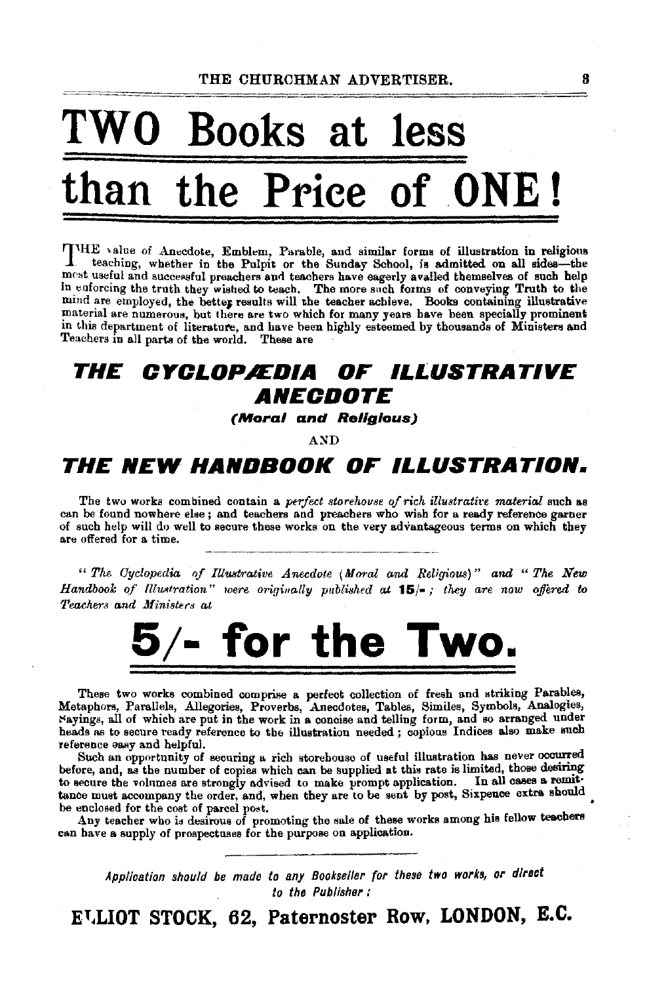# O Books at less the Price of ONE!

THE value of Anecdote, Emblem, Parable, and similar forms of illustration in religious teaching, whether in the Pulpit or the Sunday School, is admitted on all sides—the most useful and successful preachers and teachers have eagerly availed themselves of such help in enforcing the truth they wished to teach. The more such forms of conveying Truth to the mind are employed, the better results will the teacher achieve. Books containing illustrative material are numerous, but there are two which for many years have been specially prominent in this department of literature, and have been highly esteemed by thousands of Ministers and Teachers in all parts of the world. These are

#### THE *CYCLOPÆDIA* OF ILLUSTRATIVE *ANECDOTE*

(Moral and Religious)

**AND** 

## THE NEW HANDBOOK OF ILLUSTRATION.

The two works combined contain a perfect storehouse of rich illustrative material such as can be found nowhere else; and teachers and preachers who wish for a ready reference garner of such help will do well to secure these works on the very advantageous terms on which they are offered for a time.

"The Cyclopedia of Illustrative Anecdote (Moral and Religious)" and "The New Handbook of Illustration" were originally published at  $15/-$ ; they are now offered to Teachers and Ministers at



These two works combined comprise a perfect collection of fresh and striking Parables, Metaphors, Parallels, Allegories, Proverbs, Anecolotes, Tables, Similes, Symbols, Analogies, Nayings, all of which are put in the work in a concise and telling form, and so arranged under heads as to secure ready reference to the illustration needed; copious Indices also make such reference easy and helpful.

Such an opportunity of securing a rich storehouse of useful illustration has never occurred before, and, as the number of copies which can be supplied at this rate is limited, those desiring In all cases a remitto secure the volumes are strongly advised to make prompt application. tance must accompany the order, and, when they are to be sent by post, Sixpence extra should be enclosed for the cost of parcel post.

Any teacher who is desirous of promoting the sale of these works among his fellow teachers can have a supply of prospectuses for the purpose on application.

Application should be made to any Bookseller for these two works, or direct to the Publisher:

E<sup>T</sup>LIOT STOCK, 62, Paternoster Row, LONDON, E.C.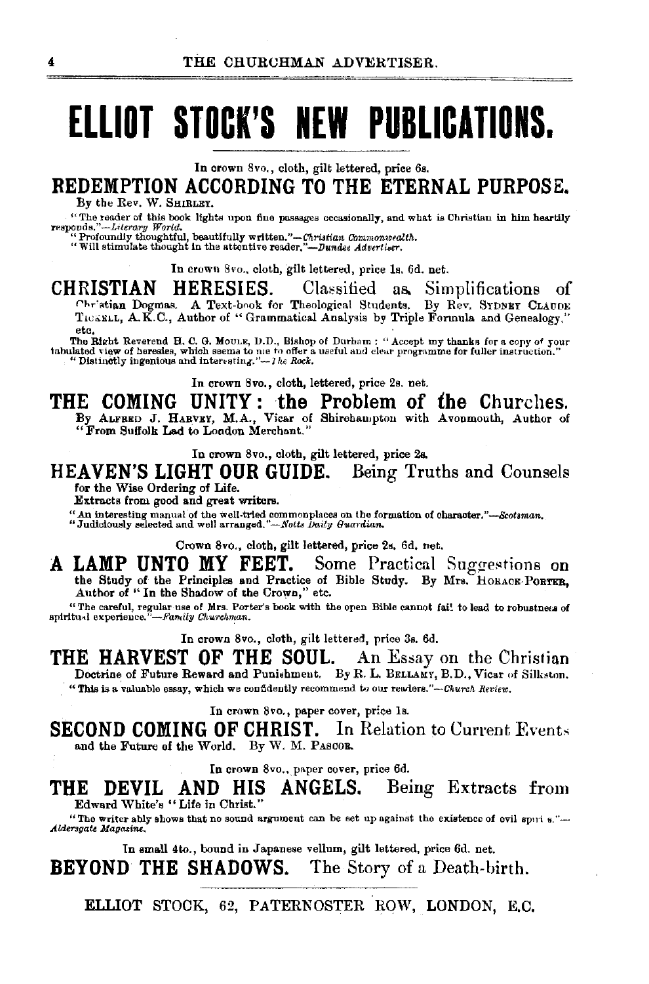# **ELLIOT STOCK'S NEW PUBLICATIONS.**

In crown 8vo., cloth, gilt lettered, price 6s.

**REDEMPTION ACCORDING TO THE ETERNAL PURPOSE.** 

By the Rev. W. SHIRLEY.

"The reader of this book lights upon fine passages occasionally, and what is Christian in him heartily responds."-Literary World.<br>
"Profoundly thoughtful, beautifully written."-Christian Commonwealth.<br>
"Will stimulate thought in the attentive reader,"-Dundee Advertiser.

In crown 8vo., cloth, gilt lettered, price ls. 6d. net.

**CHRISTIAN HERESIES.** Classified as Simplifications of Chr'stian Dogmas. A Text-book for Theological Students. By Rev. SYDNEY CLAUDE. TICERLL, A.K.C., Author of "Grammatical Analysis by Triple Formula and Genealogy," etc.<br>The Right Reverend H. C. G. Moule, D.D., Bishop of Durham : "Accept my thanks for a cony of your

The Right Reverend H. C. G. Moulk, D.D., Bishop of Durham : "Accept my thanks for a copy of your<br>tabulated view of heresles, which seems to me to offer a useful and clear programme for fuller instruction."<br>"Distinctly inge

In crown 8vo., cloth, lettered, price 2s. net.

**THE COMING UNITY: the Problem of the** Churches. By ALFRED J. HARVEY, M.A., Vicar of Shirehampton with Avonmouth, Author of ''From Suffolk Lad to London Merchant."

In crown 8vo., cloth, gilt lettered, price 2a.

### **HEAVEN'S LIGHT OUR GUIDE.** Being Truths and Counsels for the Wise Ordering of Life.

Extracts from good and great writers.

".A.n interesting manual of the well-tried commonplaces on the formation of charactsr. *"-&otaman.* "Judiciously selected and well arranged."-Notts *1Ja.il11 Gua>·dian.* 

Crown 8vo., cloth, gilt lettered, price 2s. 6d. net.

A LAMP UNTO MY FEET. Some Practical Suggestions on the Study of the Principles and Practice of Bible Study. By Mrs. HORACE-PORTER, Author of " In the Shadow of the Crown," etc.

"The careful, regular use of Mrs. Porter's book with the open Bible cannot fai! to lead to robustness of spiritual experience,"—Family Churchman. sphi.tu•l experience."-Ji'a,,il;y *Clnwchman.* 

In crown Svo., cloth, gilt lettered, price 3s. 6d.

**THE HARVEST OF THE SOUL.** An Essay on the Christian Doctrine of Future Reward and Punishment. By R. L. BELLAMY, B.D., Vicar of Silkston. "This is a valuable essay, which we confidently recommend to our readers."--Church Review.

In crown Svo., paper cover, price ls.

**SECOND COMING OF CHRIST.** In Relation to Current Events and the Future of the World. By W. M. PASCOR.

In crown 8vo., paper cover, price 6d.

**THE DEVIL AND HIS ANGELS.** Being Extracts from Edward White's "Life in Christ."

"The writer ably shows that no sound argument can be set up against the existence of evil spni  $s$ ."--<br>Aldersgate Magazine.

In small 4to., bound in Japanese vellum, gilt lettered, price 6d. net. **BEYOND THE SHADOWS.** The Story of a Death-birth.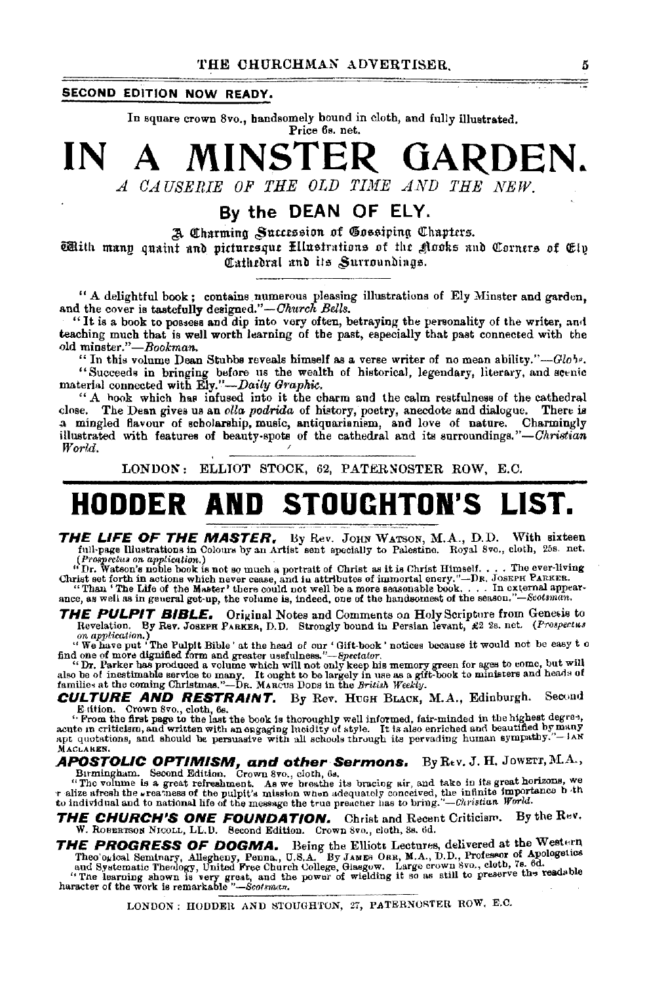### SECOND EDITION NOW READY.

In square crown 8vo., handsomely bound in cloth, and fully illustrated. Price 6s. net.

MINSTER GARDEN. IN  $\blacktriangle$ 

A CAUSERIE OF THE OLD TIME AND THE NEW.

### By the DEAN OF ELY.

A Charming Succession of Gossiping Chapters.

With many quaint and picturesque Ellustrations of the glooks and Corners of Elp Cathedral und its Surroundings.

" A delightful book; contains numerous pleasing illustrations of Ely Minster and garden. and the cover is tastefully designed."-Church Bells.

"It is a book to possess and dip into very often, betraying the personality of the writer, and teaching much that is well worth learning of the past, especially that past connected with the old minster."-Bookman.

"In this volume Dean Stubbs reveals himself as a verse writer of no mean ability."- $Glob.$ "Succeeds in bringing before us the wealth of historical, legendary, literary, and scenic material connected with Ely."-Daily Graphic.

"A hook which has infused into it the charm and the calm restfulness of the cathedral close. The Dean gives us an olla podrida of history, poetry, anecdote and dialogue. There is a mingled flavour of scholarship, music, antiquarianism, and love of nature. Charmingly illustrated with features of beauty-spots of the cathedral and its surroundings."-Christian World.

LONDON: ELLIOT STOCK, 62, PATERNOSTER ROW, E.C.

## **HODDER AND STOUGHTON'S LIST.**

THE LIFE OF THE MASTER, By Rev. JOHN WATSON, M.A., D.D. With sixteen full-page Illustrations in Colours by an Artist sent specially to Palestine. Royal 8ve., cloth, 258. net.

(Prospectus on application.)<br>
" Dr. Watson's not so to much a portrait of Christ as it is Christ Himself. . . . The ever-living<br>
" Dr. Watson's not be to much a portrait of Christ as it is Christ Himself. . . . The ever-li

ance, as well as in general get-up, the volume is, indeed, one of the handsomest of the season."-Scotsman.

**THE PULPIT BIBLE.** Original Notes and Comments on Holy Scripture from Genesis to Revelation. By Rev. JOSEFH PARKER, D.D. Strongly bound in Persian levant, £2 2s. net. (Prospectus

Revention.) By Rev. JOSEPH PARKER, D.D. Survingly tount in Forsian revenue, see so, and consider the Pulpit Bible' at the head of our 'Gift-book' notices because it would not be easy to find one of more dignified form and

**CULTURE AND RESTRAINT.** By Rev. HUGH BLACK, M.A., Edinburgh. Second

E dtion. Crown Svo., cloth, 6s.<br>action and the book is thoroughly well informed, fair-minded in the highest degree,<br>acute in criticism, and written with an engaging lucidity of style. It is also enriched and beautified by MACLAREN.

**APOSTOLIC OPTIMISM, and other Sermons.** By Rev. J. H. JOWETT, M.A., Birmingham. Second Edition. Crown 8vo., cloth, 6s.<br>"The volume is a great refreshment. As we broathe its bracing sir, and take in its great horizons, we<br>

r alize afresh the gracia of the public a measure as of the public and the minimal content of the public and the minimal streaments of the presence the true preacher has to bring."-Christian World.

**THE CHURCH'S ONE FOUNDATION.** Christ and Recent Criticism. By the Rev. W. ROBERTSON NICOLL, LL.D. Second Edition. Crown 8vo., cloth, 3s. 6d.

THE PROGRESS OF DOGMA. Being the Elliott Lectures, delivered at the Western<br>Theo ogical Seminary, Allegheny, Penna., U.S.A. By JAMES ORR, M.A., D.D., Professor of Apologetics<br>and Systematic Theology, United Free Church Col

LONDON: HODDER AND STOUGHTON, 27, PATERNOSTER ROW, E.C.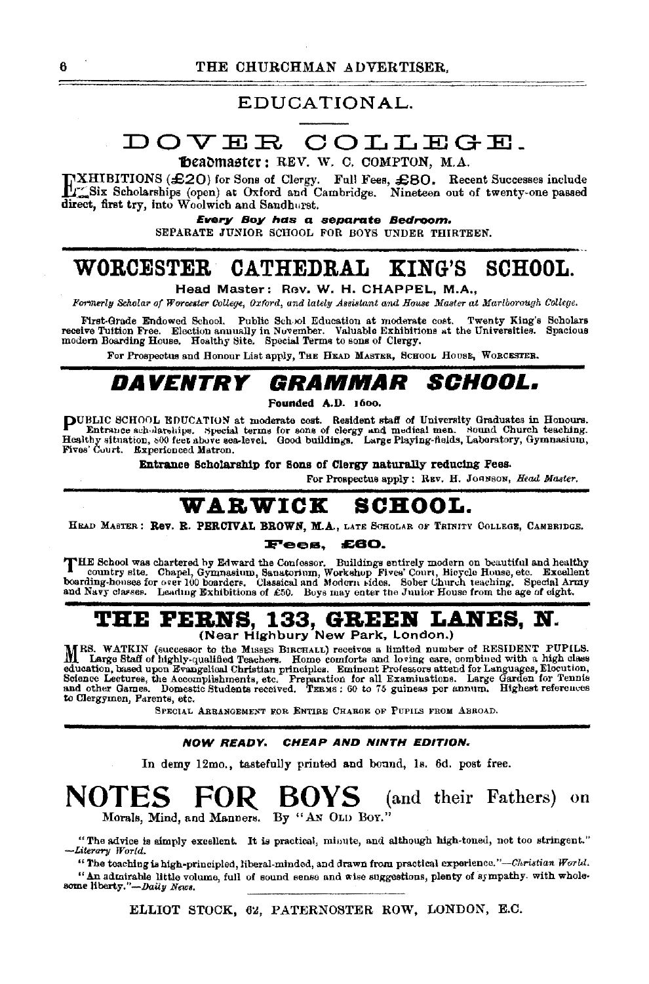### EDUCATIONAL.

## DOVER COLLEGE.

Theadmaster: REV. W. C. COMPTON. M.A.

TXHIBITIONS (£20) for Sons of Clergy. Full Fees, £80. Recent Successes include  $L_{\infty}^{\infty}$ Six Scholarships (open) at Oxford and Cambridge. Nineteen out of twenty-one passed direct, first try, into Woolwich and Sandhurst.

Every Boy has a separate Bedroom.

SEPARATE JUNIOR SCHOOL FOR BOYS UNDER THIRTEEN.

#### WORCESTER CATHEDRAL KING'S **SCHOOL.**

Head Master: Rev. W. H. CHAPPEL, M.A.,

Formerly Scholar of Worcester College, Oxford, and lately Assistant and House Master at Martborough College.

First-Grade Endowed School. Public School Education at moderate cost. Twenty King's Scholars receive Tuition Free. Election annually in November. Valuable Exhibitions at the Universities. Spacious modern Boarding House. Ho

For Prospectus and Honour List apply, THE HEAD MASTER, SCHOOL HOUSE, WORCESTER.

#### GRAMMAR DAVENTRY *SCHOOL.*

Founded A.D. 1600.

PUBLIC SCHOOL EDUCATION at moderate cost. Resident staff of University Graduates in Honours.<br>Entrance scholarships. Special terms for sons of clergy and medical men. Sound Church teaching.<br>Healthy situation, 800 feet above Fives' Court. Experienced Matron.

Entrance Scholarship for Sons of Clergy naturally reducing Fees.

For Prospectus apply: REV. H. JOHNSON, Head Master.

#### **SCHOOL.** WARWICK

HEAD MASTER: Rev. R. PERCIVAL BROWN, M.A., LATE SCHOLAR OF TRINITY COLLEGE, CAMBRIDGE.

#### Fees. £60.

THE School was chartered by Edward the Confessor. Buildings entirely modern on beautiful and healthy country site. Chapel, Gymnasium, Sanatorium, Workshop Fives' Court, Hicycle House, etc. Excellent boarding-houses for ove and Navy classes. Leading Exhibitions of £50. Boys may enter the Junior House from the age of eight.

## **THE FERNS, 133, GREEN LANES, N.**<br>(Near Highbury New Park, London.)

MRS. WATKIN (successor to the Misses Birchard receives a limited number of RESIDENT PUPILS.<br>M. Large Staff of highly-qualified Teachare Home conditions a limited number of RESIDENT PUPILS. Large Staff of highly-qualified Teachers. Home comforts and loving care, combined with a high class education, based upon Brangelical Christian principles. Eminent Professors attend for Languages, Elecution, Science Lectures, the Accomplishments, etc. Preparation for all Examinations. Large Garden for Tennis and other Ga to Clergymen, Parents, etc.

SPECIAL ARRANGEMENT FOR ENTIRE CHARGE OF PHPILS FROM ABROAD.

#### **NOW READY.** CHEAP AND NINTH EDITION.

In demy 12mo., tastefully printed and bound, 1s. 6d. post free.

#### **NUTES** BOYS -(and their Fathers) on FUR . Morals, Mind, and Manners. By "AN OLD BOY."

"The advice is simply excellent. It is practical, minute, and although high-toned, not too stringent." -Literary World.

"The teaching is high-principled, liberal-minded, and drawn from practical experience."-Christian World. " An admirable little volume, full of sound sense and wise suggestions, plenty of sympathy. with wholesome liberty."-Daily News.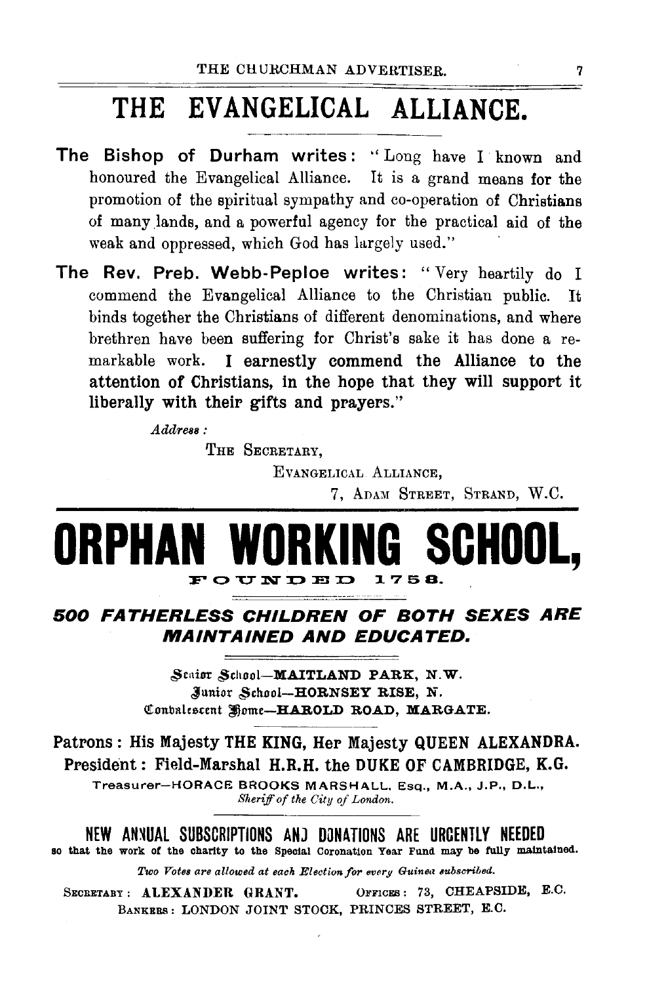## THE EVANGELICAL ALLIANCE.

- The Bishop of Durham writes: "Long have I known and honoured the Evangelical Alliance. It is a grand means for the promotion of the spiritual sympathy and co-operation of Christians of many lands, and a powerful agency for the practical aid of the weak and oppressed, which God has largely used."
- The Rev. Preb. Webb-Peploe writes: "Very heartily do I commend the Evangelical Alliance to the Christian public. It binds together the Christians of different denominations, and where brethren have been suffering for Christ's sake it has done a remarkable work. I earnestly commend the Alliance to the attention of Christians, in the hope that they will support it liberally with their gifts and prayers."

 $Address:$ 

THE SECRETARY.

EVANGELICAL ALLIANCE, 7, ADAM STREET, STRAND, W.C.

#### WOR **SCHOOL.** ORPHA FOUNDED 1758.

## 500 FATHERLESS CHILDREN OF BOTH SEXES ARE **MAINTAINED AND EDUCATED.**

Staior School-MAITLAND PARK, N.W. Junior School-HORNSEY RISE, N. Convalescent Home-HAROLD ROAD, MARGATE.

Patrons: His Majesty THE KING, Her Majesty QUEEN ALEXANDRA. President: Field-Marshal H.R.H. the DUKE OF CAMBRIDGE, K.G.

Treasurer-HORACE BROOKS MARSHALL, Esq., M.A., J.P., D.L., Sheriff of the City of London.

NEW ANNUAL SUBSCRIPTIONS AND DONATIONS ARE URGENTLY NEEDED

so that the work of the charity to the Special Coronation Year Fund may be fully maintained.

Two Votes are allowed at each Election for every Guinea subscribed.

OFFICES: 73, CHEAPSIDE, E.C. SECRETARY: ALEXANDER GRANT. BANKERS: LONDON JOINT STOCK, PRINCES STREET, E.C.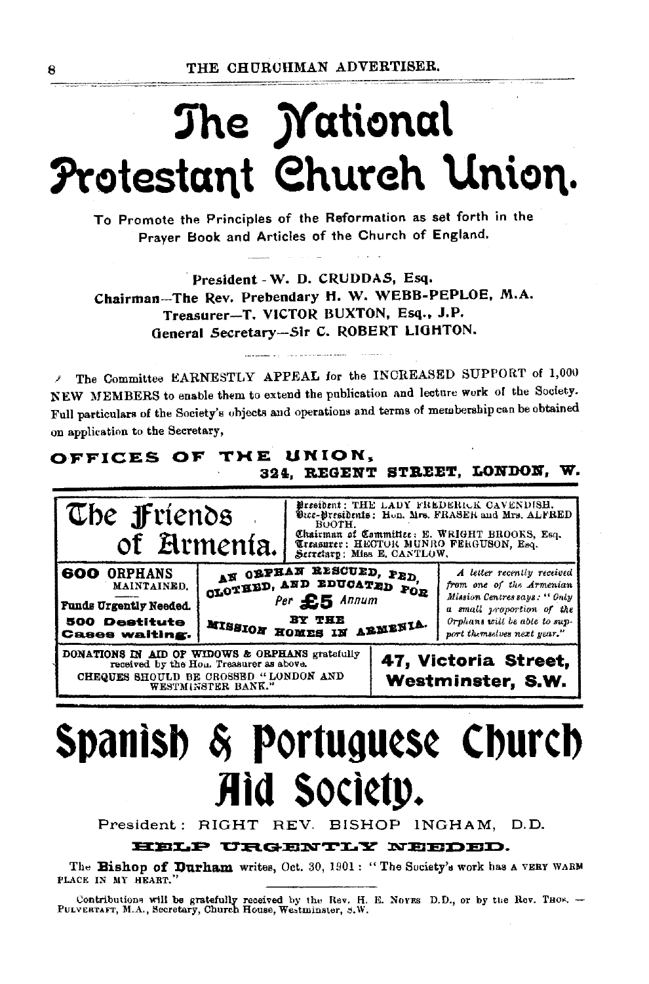# The *Mational* Protestant Church Union.

To Promote the Principles of the Reformation as set forth in the Prayer Book and Articles of the Church of England.

President - W. D. CRUDDAS, Esq. Chairman-The Rev. Prebendary H. W. WEBB-PEPLOE, M.A. Treasurer-T. VICTOR BUXTON, Esq., J.P. General Secretary-Sir C. ROBERT LIGHTON.

The Committee EARNESTLY APPEAL for the INCREASED SUPPORT of 1,000 NEW MEMBERS to enable them to extend the publication and lecture work of the Society. Full particulars of the Society's objects and operations and terms of membership can be obtained on application to the Secretary,

### OFFICES OF THE UNION. 324, REGENT STREET, LONDON, W.



# Spanish & Portuguese Church Aid Society.

President: RIGHT REV. BISHOP INGHAM. D.D.

### HELP URGENTLY NEEDED.

The Bishop of Durham writes, Oct. 30, 1901: "The Society's work has a VERY WARM PLACE IN MY HEART."

Contributions will be gratefully received by the Rev. H. E. Noves D.D., or by the Rev. Thos. --<br>PULVERTAFT, M.A., Secretary, Church House, Westminster, S.W.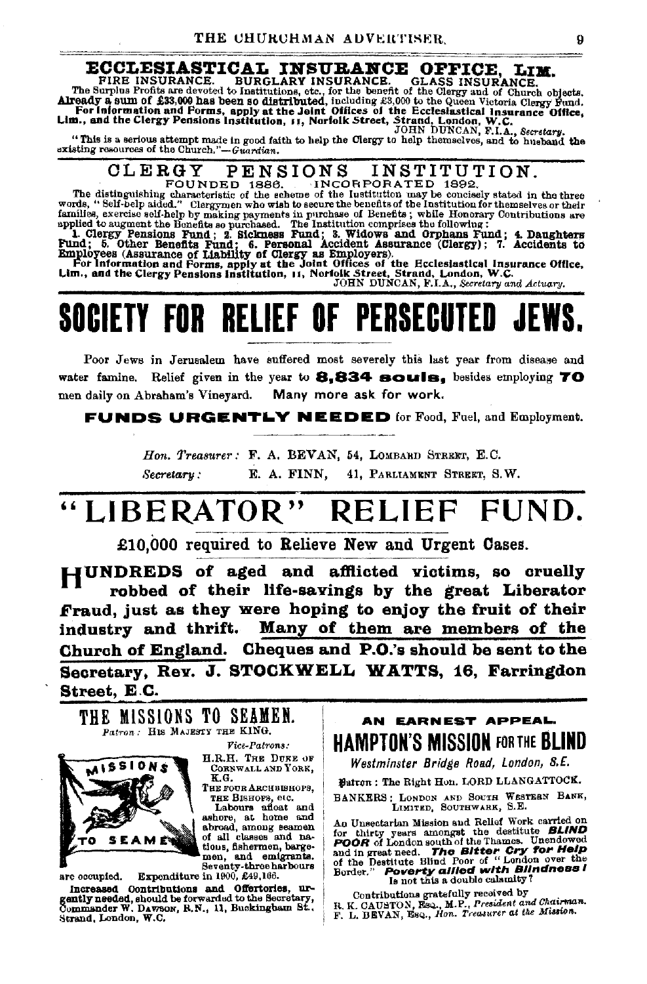#### ECCLESIASTICAL INSURANCE OFFICE. T.TM

FIRE INSURANCE. **BURGLARY INSURANCE. GLASS INSURANCE.** FIRE INSURANCE. BURGLARY INSURANCE. GLASS INSURANCE.<br>The Surplus Profits are devoted to Institutions, etc., for the bonefit of the Gurey and of Church objects.<br>Already a sum of £33,000 has been so distributed, including £3

"This is a serious attempt made in good faith to help the Clergy to help themselves, and to husband the existing resources of the Church."-Guardian.

#### **INSTITUTION** CLERGY PENSIONS

FOUNDED 1886. INCORPORATED 1892. The distinguishing characteristic of the scheme of the Institution may be concisely stated in the three words, "Self-belp aided." Clergymen who wish to secure the benefits of the Institution for themselves or their

words, "Self-belp aidd." Clergymen who wish to secure the benefits of the Institution for the<br>mailies, exercise self-help by making payments in purchase of Benefits; while Honorary Contributions are<br>applied to augment the

JOHN DUNCAN, F.I.A., Secretary and Actuary.

# SOCIETY FOR RELIEF OF PERSECUTED

Poor Jews in Jerusalem have suffered most severely this last year from disease and water famine. Relief given in the year to **8.834 souls.** besides employing  $TO$ Many more ask for work. men daily on Abraham's Vinevard.

**FUNDS URGENTLY NEEDED** for Food, Fael, and Employment.

Hon. Treasurer: F. A. BEVAN, 54, LOMBARD STREET, E.C. Secretary: E. A. FINN. 41. PARLIAMENT STREET, S.W.

### "LIBERATOR" RELIEF FUND.

£10.000 required to Relieve New and Urgent Cases.

HUNDREDS of aged and afflicted victims, so cruelly robbed of their life-savings by the great Liberator Fraud, just as they were hoping to enjoy the fruit of their industry and thrift. Many of them are members of the Church of England. Cheques and P.O.'s should be sent to the Secretary, Rev. J. STOCKWELL WATTS, 16. Farringdon Street, E.C.

THE MISSIONS TO SEAMEN. Patron. HIS MAJESTY THE KING.



Vice-Patrons:

H.R.H. THE DUKE OF CORNWALL AND YORK. K.G.

Тик гота Авсивинора. тни Винора, егс.

Labours afloat and ashore, at home and abroad, among seamen of all classes and nations, fishermen, barge-men. and emigrants. Seventy-three harbours Expenditure in 1900, £49,166.

are occupied. Increased Contributions and Offertories, urgently needed, should be forwarded to the Secretary, Commander W. DAWBON, R.N., 11, Buckingbam St., Strand, London, W.C.

AN EARNEST APPEAL. **HAMPTON'S MISSION FOR THE BLIND** 

Westminster Bridge Road, London, S.E.

Batron: The Right Hon. LORD LLANGATTOCK.

BANKERS: LONDON AND SOUTH WESTERN BANK, LIMITED, SOUTHWARK, S.E.

An Unsectarian Mission and Relief Work carried on Au Unsectarian mission and neutral work carried on<br>for thirty years amongst the destitute BLIND<br>POOR of London south of the Thames. Unendowed<br>and in great need. The Bitter Cry for Help<br>of the Destitute Blind Poor of "Londo

Contributions gratefully received by

R. K. GAUSTON, Esq., M.P., President and Chairman.<br>F. L. BEVAN, Esq., Hon. Treasurer at the Mission.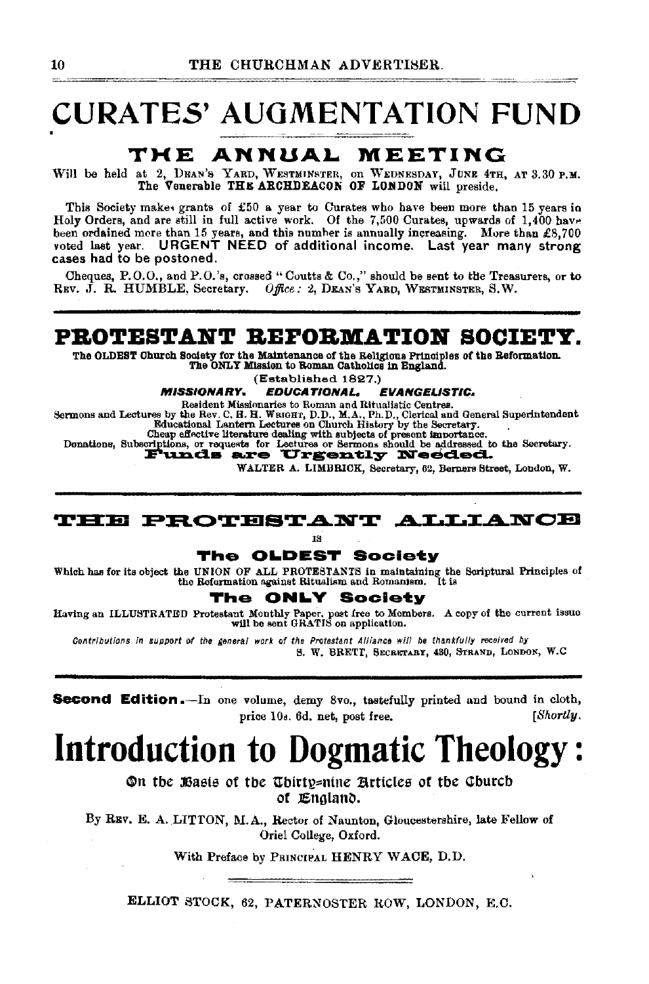## **CURATES' AUGMENTATION FUND**

## THE ANNUAL MEETING

Will be held at 2, DEAN's YARD, WESTMINSTER, on WEDNESDAY, JUNE 4TH, AT 3.30 P.M. The Venerable THE ARCHDEACON OF LONDON will preside.

This Society makes grants of £50 a year to Curates who have been more than 15 years in Holy Orders, and are still in full active work. Of the 7,500 Curates, upwards of 1,400 have been ordained more than 15 years, and this number is annually increasing. More than £8,700 voted last year. URGENT NEED of additional income. Last year many strong cases had to be postoned.

Cheques, P.O.O., and P.O.'s, crossed "Coutts & Co.," should be sent to the Treasurers, or to REV. J. R. HUMBLE, Secretary. Office: 2, DEAN's YARD, WESTMINSTER, S.W.

### PROTESTANT REFORMATION SOCIETY.

The OLDEST Church Society for the Maintenance of the Religious Principles of the Reformation.<br>The ONLY Mission to Roman Catholics in England.

(Established 1827.)

**MISSIONARY. EDUCATIONAL. EVANGELISTIC.** 

Sermons and Lectures by the Rev. C. H. H. Water and Ritualistic Centres.<br>
Besident Missionaries to Roman and Ritualistic Centres.<br>
Rev. R. H. Water P. D., M.A., Ph.D., Clerical and General Superintendent<br>
Educational Lante

Equipment in the contract of the contract of the contract of the contract of the contract of the contract of the contract of the contract of the contract of the contract of the contract of the contract of the contract of t

WALTER A. LIMBRICK, Secretary, 62. Berners Street, London, W.

### **THE PROTESTANT ALLIANCE**

18

### The OLDEST Society

Which has for its object the UNION OF ALL PROTESTANTS in maintaining the Scriptural Principles of the Reformation against Ritualism and Romanism. It is

#### **ONLY Society** The

Having an ILLUSTRATED Protestant Monthly Paper, post free to Members. A copy of the current issue<br>will be sent GRATIS on application.

Contributions in support of the general work of the Protestant Alliance will be thankfully received by S. W. BRETT, SECRETARY, 430, STRAND, LONDON, W.C.

**Second Edition.**-In one volume, demy 8vo., tastefully printed and bound in cloth, price 10s. 6d. net, post free.  $[Shortly,$ 

## **Introduction to Dogmatic Theology:**

On the Basis of the Thirty=nine Articles of the Church of England.

By REV. E. A. LITTON, M.A., Rector of Naunton, Gloucestershire, late Fellow of Oriel College, Oxford.

With Preface by PRINCIPAL HENRY WACE, D.D.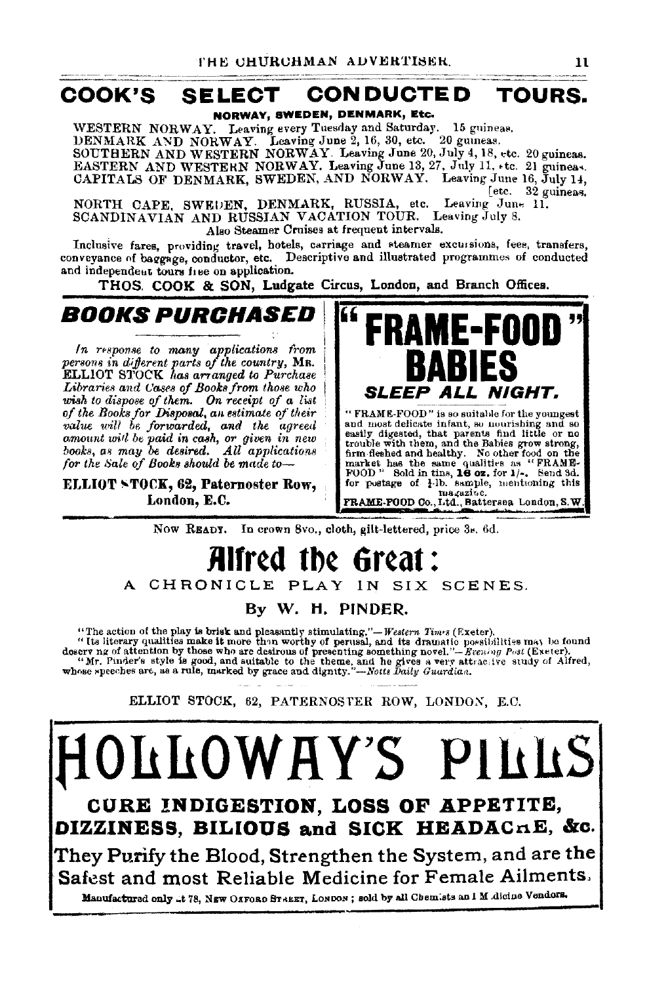## COOK'S SELECT CONDUCTED TOURS.

NORWAY, SWEDEN, DENMARK, Etc.

WESTERN NORWAY. Leaving every Tuesday and Saturday. 15 guineas. DENMARK AND NORWAY. Leaving June 2, 16, 30, etc. 20 guineas.<br>SOUTHERN AND WESTERN NORWAY. Leaving June 20, July 4, 18, etc. 20 guineas. EASTERN AND WESTEKN NORWAY. Leaving June 13, 27, July 11, +tc. 21 guineas.<br>CAPITALS OF DENMARK, SWEDEN, AND NORWAY. Leaving June 16, July 14,

[etc. 32 guineas.<br>Leaving June 11. NORTH CAPE, SWEUEN, DENMARK, RUSSIA, etc. Leaving June 11.<br>SCANDINAVIAN AND RUSSIAN VACATION TOUR. Leaving July 8. Also Steamer Cruises at frequent intervals.

Inclusive fares, providing travel, hotels, carriage and steamer excussions, fees, transfers, conveyance of baggage, conductor, etc. Descriptive and illustrated programmes of conducted and independeut tours free on application.

THOS. COOK & SON, Ludgate Circus, London, and Branch Offices.

BOOKS PURCHASED I

*In response to many applications from persons in dijferent parts of the countrg,* MR. ELLIOT STOCK *l1as arranged to Purchase* Libraries and Cases of Books from those who wish to dispose of them. On receipt of a list<br>of the Books for Disposal, an estimate of their<br>value will be forwarded, and the agreed<br>omount will be paid in cash, or given in new<br>books, as may be desired. All applications *fooks*, as may be desired. All applications for the Sale of Books should be made to-

ELLIOT STOCK, 62, Paternoster Row, London, E.C.



and most delicate infant, so mourishing and so<br>easily digested, that parents find little or no<br>trouble with them, and the Babies grow strong,<br>from fleshed and healthy. No other food on the<br>market has the same qualities as magazite.<br>FRAME-FOOD Co., Ltd., Battersea. London, S. W.

Now READY. In crown Svo., cloth, gilt-lettered, price 3•. 6d.

## Alfred the **f** A CHRONICLE PLAY IN SIX SCENES.

By W. H. PINDER.

"The action of the play is brisk and pleasantly stimulating."—Western Times (Exeter).<br>"Its literary qualities make it more than worthy of perusal, and its dramatic possibilities may be found<br>doser ng of attention by those

ELLIOT STOCK, 62, PATERNOSTER ROW, LONDON, E.C.

fiOili!OWRY'S PlllllS CURE !NDIGESTION, LOSS OF APPETITE, DIZZINESS, BILIOUS and SICK HEADACRE, &c. They Purify the Blood, Strengthen the System, and are the Safest and most Reliable Medicine for Female Ailments.

Manufactured only ..t 78, NBW OAFORD STREET, LONDON; sold by all Chemists an I M .dicine Vendors.